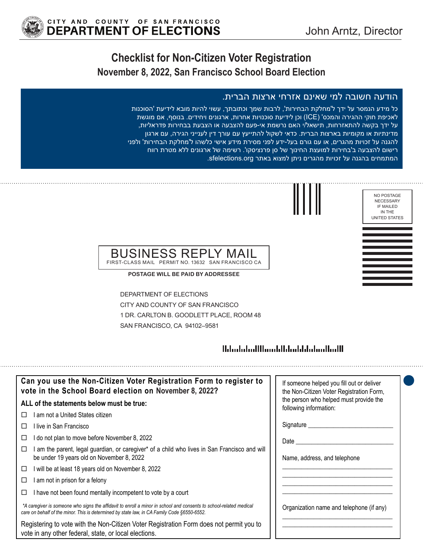## **Checklist for Non-Citizen Voter Registration November 8, 2022, San Francisco School Board Election**

#### הודעה חשובה למי שאינם אזרחי ארצות הברית.

כל מידע הנמסר על ידך ל'מחלקת הבחירות', לרבות שמך וכתובתך, עשוי להיות מובא לידיעת 'הסוכנות לאכיפת חוקי ההגירה והמכס' (ICE (וכן לידיעת סוכנויות אחרות, ארגונים ויחידים. בנוסף, אם מוגשת על ידך בקשה להתאזרחות, תישאל/י האם נרשמת אי-פעם להצבעה או הצבעת בבחירות פדראליות, מדינתיות או מקומיות בארצות הברית. כדאי לשקול להתייעץ עם עורך דין לענייני הגירה, עם ארגון להגנה על זכויות מהגרים, או עם גורם בעל-ידע לפני מסירת מידע אישי כלשהו ל'מחלקת הבחירות' ולפני רישום להצבעה ב'בחירות למועצת החינוך של סן פרנציסקו'. רשימה של ארגונים ללא מטרת רווח המתמחים בהגנה על זכויות מהגרים ניתן למצוא באתר sfelections.org.



#### BUSINESS REPLY FIRST-CLASS MAIL PERMIT NO. 13632 SAN FRANCISCO CA

**POSTAGE WILL BE PAID BY ADDRESSEE**

DEPARTMENT OF ELECTIONS CITY AND COUNTY OF SAN FRANCISCO 1 DR. CARLTON B. GOODLETT PLACE, ROOM 48 SAN FRANCISCO, CA 94102–9581

#### 

| Can you use the Non-Citizen Voter Registration Form to register to<br>vote in the School Board election on November 8, 2022?                                                                                      | If someone helped you fill out or deliver<br>the Non-Citizen Voter Registration Form, |
|-------------------------------------------------------------------------------------------------------------------------------------------------------------------------------------------------------------------|---------------------------------------------------------------------------------------|
| ALL of the statements below must be true:                                                                                                                                                                         | the person who helped must provide the<br>following information:                      |
| I am not a United States citizen<br>П                                                                                                                                                                             |                                                                                       |
| I live in San Francisco<br>$\Box$                                                                                                                                                                                 | Signature                                                                             |
| I do not plan to move before November 8, 2022<br>⊔                                                                                                                                                                | Date                                                                                  |
| I am the parent, legal guardian, or caregiver* of a child who lives in San Francisco and will<br>□<br>be under 19 years old on November 8, 2022                                                                   | Name, address, and telephone                                                          |
| I will be at least 18 years old on November 8, 2022<br>□                                                                                                                                                          |                                                                                       |
| I am not in prison for a felony<br>□                                                                                                                                                                              |                                                                                       |
| I have not been found mentally incompetent to vote by a court<br>⊔                                                                                                                                                |                                                                                       |
| *A caregiver is someone who signs the affidavit to enroll a minor in school and consents to school-related medical<br>care on behalf of the minor. This is determined by state law, in CA Family Code §6550-6552. | Organization name and telephone (if any)                                              |
| Registering to vote with the Non-Citizen Voter Registration Form does not permit you to<br>vote in any other federal, state, or local elections.                                                                  |                                                                                       |